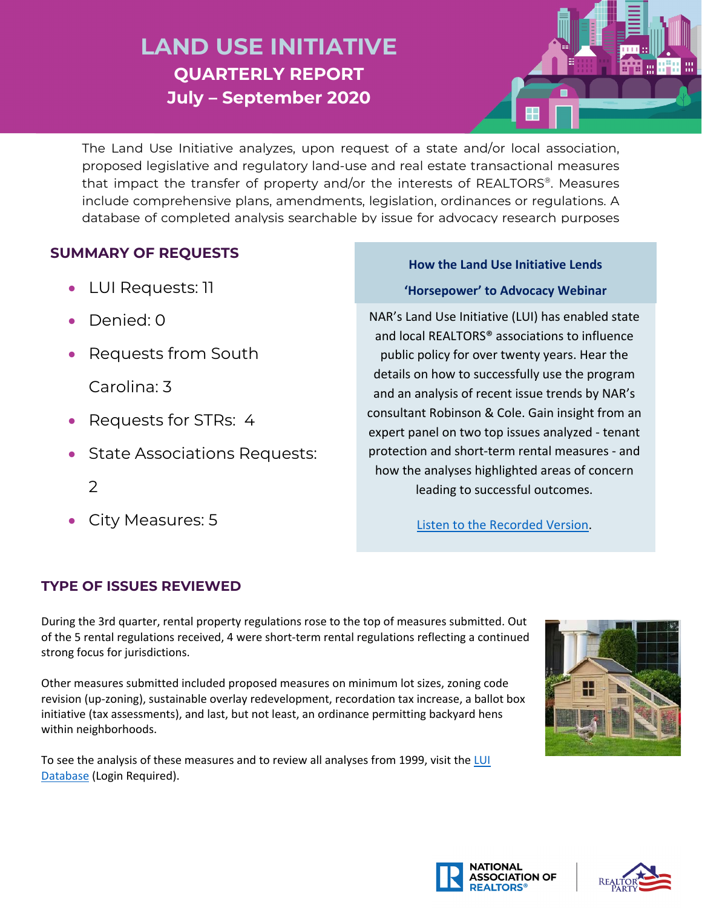## **LAND USE INITIATIVE QUARTERLY REPORT July – September 2020**

The Land Use Initiative analyzes, upon request of a state and/or local association, proposed legislative and regulatory land-use and real estate transactional measures that impact the transfer of property and/or the interests of REALTORS®. Measures include comprehensive plans, amendments, legislation, ordinances or regulations. A database of completed analysis searchable by issue for advocacy research purposes

## **SUMMARY OF REQUESTS How the Land Use Initiative Lends**

- 
- Denied: 0
- Requests from South

Carolina: 3

- Requests for STRs: 4
- State Associations Requests:
	- 2
- City Measures: 5

# • LUI Requests: 11 **'Horsepower' to Advocacy Webinar**

NAR's Land Use Initiative (LUI) has enabled state and local REALTORS® associations to influence public policy for over twenty years. Hear the details on how to successfully use the program and an analysis of recent issue trends by NAR's consultant Robinson & Cole. Gain insight from an expert panel on two top issues analyzed - tenant protection and short-term rental measures - and how the analyses highlighted areas of concern leading to successful outcomes.

[Listen to the Recorded Version.](https://realtors.zoom.us/rec/play/mdiOS-5PQ4fEXzoqYZ0PI8Fa_bUT3Gp0NGYN79_fqlKoabnn1ig9hKbmNLB8bdXS9P0NGFPVYIrO49Nt.L27bC_cqbCR1OMmO?startTime=1599674364000)

#### **TYPE OF ISSUES REVIEWED**

During the 3rd quarter, rental property regulations rose to the top of measures submitted. Out of the 5 rental regulations received, 4 were short-term rental regulations reflecting a continued strong focus for jurisdictions.

Other measures submitted included proposed measures on minimum lot sizes, zoning code revision (up-zoning), sustainable overlay redevelopment, recordation tax increase, a ballot box initiative (tax assessments), and last, but not least, an ordinance permitting backyard hens within neighborhoods.

To see the analysis of these measures and to review all analyses from 1999, visit the LUI [Database](https://www.nar.realtor/luimemos.nsf/LUIIssWeb?OpenView) (Login Required).